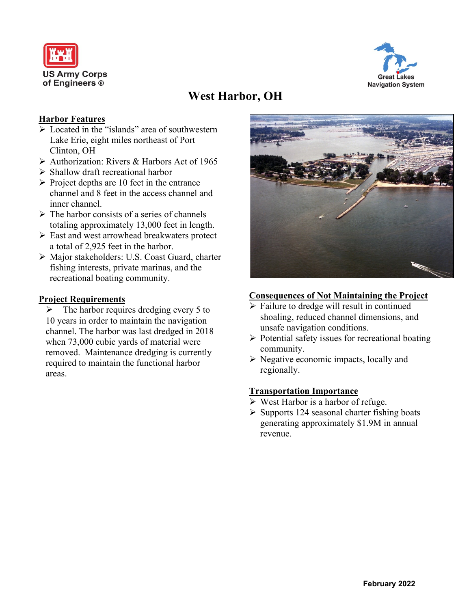



# **West Harbor, OH**

#### **Harbor Features**

- ➢ Located in the "islands" area of southwestern Lake Erie, eight miles northeast of Port Clinton, OH
- ➢ Authorization: Rivers & Harbors Act of 1965
- ➢ Shallow draft recreational harbor
- $\triangleright$  Project depths are 10 feet in the entrance channel and 8 feet in the access channel and inner channel.
- $\triangleright$  The harbor consists of a series of channels totaling approximately 13,000 feet in length.
- ➢ East and west arrowhead breakwaters protect a total of 2,925 feet in the harbor.
- ➢ Major stakeholders: U.S. Coast Guard, charter fishing interests, private marinas, and the recreational boating community.

#### **Project Requirements**

 $\triangleright$  The harbor requires dredging every 5 to 10 years in order to maintain the navigation channel. The harbor was last dredged in 2018 when 73,000 cubic yards of material were removed. Maintenance dredging is currently required to maintain the functional harbor areas.



### **Consequences of Not Maintaining the Project**

- ➢ Failure to dredge will result in continued shoaling, reduced channel dimensions, and unsafe navigation conditions.
- ➢ Potential safety issues for recreational boating community.
- ➢ Negative economic impacts, locally and regionally.

### **Transportation Importance**

- $\triangleright$  West Harbor is a harbor of refuge.
- ➢ Supports 124 seasonal charter fishing boats generating approximately \$1.9M in annual revenue.